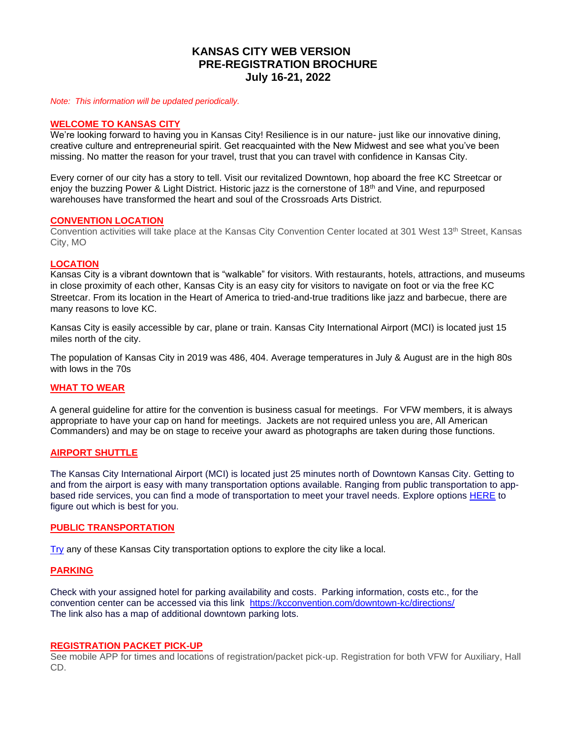# **KANSAS CITY WEB VERSION PRE-REGISTRATION BROCHURE July 16-21, 2022**

*Note: This information will be updated periodically.* 

# **WELCOME TO KANSAS CITY**

We're looking forward to having you in Kansas City! Resilience is in our nature- just like our innovative dining, creative culture and entrepreneurial spirit. Get reacquainted with the New Midwest and see what you've been missing. No matter the reason for your travel, trust that you can travel with confidence in Kansas City.

Every corner of our city has a story to tell. Visit our revitalized Downtown, hop aboard the free KC Streetcar or enjoy the buzzing Power & Light District. Historic jazz is the cornerstone of 18<sup>th</sup> and Vine, and repurposed warehouses have transformed the heart and soul of the Crossroads Arts District.

#### **CONVENTION LOCATION**

Convention activities will take place at the Kansas City Convention Center located at 301 West 13<sup>th</sup> Street, Kansas City, MO

#### **LOCATION**

Kansas City is a vibrant downtown that is "walkable" for visitors. With restaurants, hotels, attractions, and museums in close proximity of each other, Kansas City is an easy city for visitors to navigate on foot or via the free KC Streetcar. From its location in the Heart of America to tried-and-true traditions like jazz and barbecue, there are many reasons to love KC.

Kansas City is easily accessible by car, plane or train. Kansas City International Airport (MCI) is located just 15 miles north of the city.

The population of Kansas City in 2019 was 486, 404. Average temperatures in July & August are in the high 80s with lows in the 70s

# **WHAT TO WEAR**

A general guideline for attire for the convention is business casual for meetings. For VFW members, it is always appropriate to have your cap on hand for meetings. Jackets are not required unless you are, All American Commanders) and may be on stage to receive your award as photographs are taken during those functions.

#### **AIRPORT SHUTTLE**

The Kansas City International Airport (MCI) is located just 25 minutes north of Downtown Kansas City. Getting to and from the airport is easy with many transportation options available. Ranging from public transportation to appbased ride services, you can find a mode of transportation to meet your travel needs. Explore options [HERE](https://www.flykci.com/getting-to-from/ground-transportation/) to figure out which is best for you.

#### **PUBLIC TRANSPORTATION**

[Try](https://www.visitkc.com/visitors/things-do/trip-ideas-tools/getting-around/transportation-ways-get-around-kc) any of these Kansas City transportation options to explore the city like a local.

# **PARKING**

Check with your assigned hotel for parking availability and costs. Parking information, costs etc., for the convention center can be accessed via this link <https://kcconvention.com/downtown-kc/directions/> The link also has a map of additional downtown parking lots.

#### **REGISTRATION PACKET PICK-UP**

See mobile APP for times and locations of registration/packet pick-up. Registration for both VFW for Auxiliary, Hall CD.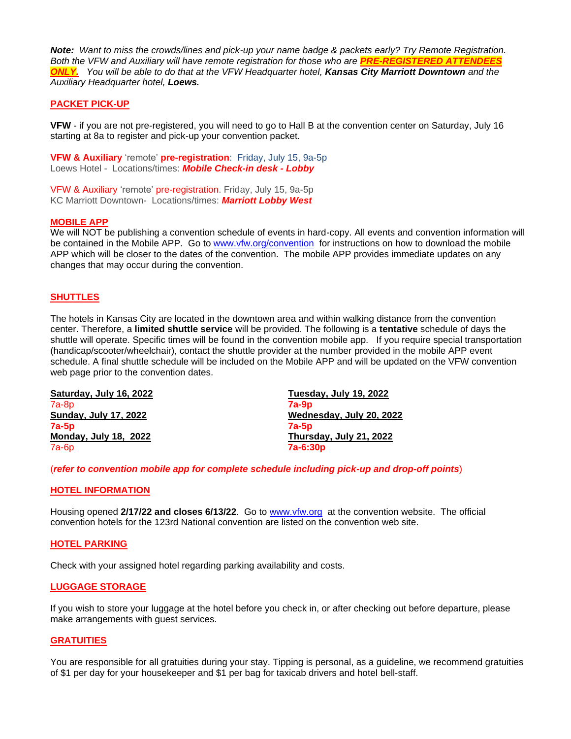*Note: Want to miss the crowds/lines and pick-up your name badge & packets early? Try Remote Registration. Both the VFW and Auxiliary will have remote registration for those who are PRE-REGISTERED ATTENDEES ONLY. You will be able to do that at the VFW Headquarter hotel, Kansas City Marriott Downtown and the Auxiliary Headquarter hotel, Loews.* 

## **PACKET PICK-UP**

**VFW** - if you are not pre-registered, you will need to go to Hall B at the convention center on Saturday, July 16 starting at 8a to register and pick-up your convention packet.

**VFW & Auxiliary** 'remote' **pre-registration**: Friday, July 15, 9a-5p Loews Hotel - Locations/times: *Mobile Check-in desk - Lobby*

VFW & Auxiliary 'remote' pre-registration. Friday, July 15, 9a-5p KC Marriott Downtown- Locations/times: *Marriott Lobby West*

#### **MOBILE APP**

We will NOT be publishing a convention schedule of events in hard-copy. All events and convention information will be contained in the Mobile APP. Go to [www.vfw.org/convention](http://www.vfw.org/convention) for instructions on how to download the mobile APP which will be closer to the dates of the convention. The mobile APP provides immediate updates on any changes that may occur during the convention.

# **SHUTTLES**

The hotels in Kansas City are located in the downtown area and within walking distance from the convention center. Therefore, a **limited shuttle service** will be provided. The following is a **tentative** schedule of days the shuttle will operate. Specific times will be found in the convention mobile app. If you require special transportation (handicap/scooter/wheelchair), contact the shuttle provider at the number provided in the mobile APP event schedule. A final shuttle schedule will be included on the Mobile APP and will be updated on the VFW convention web page prior to the convention dates.

| Saturday, July 16, 2022      | Tuesday, July 19, 2022   |
|------------------------------|--------------------------|
| $7a-8p$                      | $7a-9p$                  |
| <b>Sunday, July 17, 2022</b> | Wednesday, July 20, 2022 |
| $7a-5p$                      | 7a-5p                    |
| <b>Monday, July 18, 2022</b> | Thursday, July 21, 2022  |
| $7a-6p$                      | $7a-6:30p$               |

(*refer to convention mobile app for complete schedule including pick-up and drop-off points*)

#### **HOTEL INFORMATION**

Housing opened **2/17/22 and closes 6/13/22**. Go to [www.vfw.org](http://www.vfw.org/) at the convention website. The official convention hotels for the 123rd National convention are listed on the convention web site.

#### **HOTEL PARKING**

Check with your assigned hotel regarding parking availability and costs.

## **LUGGAGE STORAGE**

If you wish to store your luggage at the hotel before you check in, or after checking out before departure, please make arrangements with guest services.

#### **GRATUITIES**

You are responsible for all gratuities during your stay. Tipping is personal, as a guideline, we recommend gratuities of \$1 per day for your housekeeper and \$1 per bag for taxicab drivers and hotel bell-staff.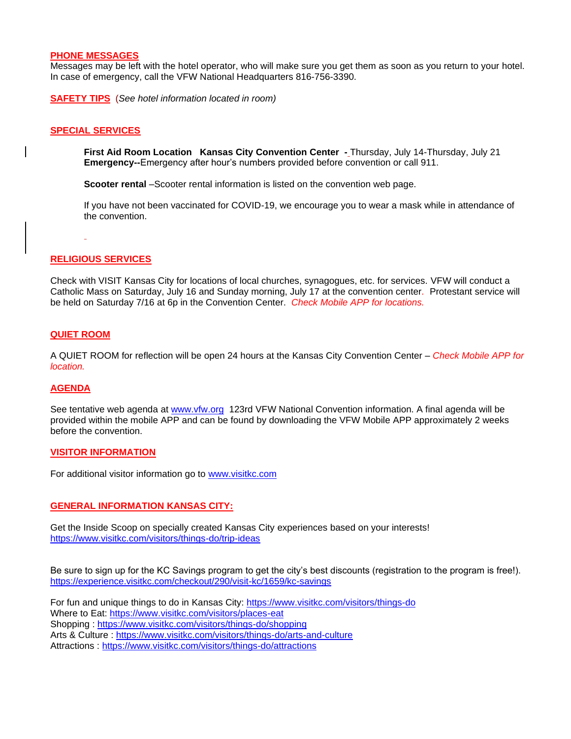#### **PHONE MESSAGES**

Messages may be left with the hotel operator, who will make sure you get them as soon as you return to your hotel. In case of emergency, call the VFW National Headquarters 816-756-3390.

**SAFETY TIPS** (*See hotel information located in room)*

# **SPECIAL SERVICES**

**First Aid Room Location Kansas City Convention Center -** Thursday, July 14-Thursday, July 21 **Emergency--**Emergency after hour's numbers provided before convention or call 911.

**Scooter rental** –Scooter rental information is listed on the convention web page.

If you have not been vaccinated for COVID-19, we encourage you to wear a mask while in attendance of the convention.

# **RELIGIOUS SERVICES**

Check with VISIT Kansas City for locations of local churches, synagogues, etc. for services. VFW will conduct a Catholic Mass on Saturday, July 16 and Sunday morning, July 17 at the convention center*.* Protestant service will be held on Saturday 7/16 at 6p in the Convention Center. *Check Mobile APP for locations.*

# **QUIET ROOM**

A QUIET ROOM for reflection will be open 24 hours at the Kansas City Convention Center – *Check Mobile APP for location.*

# **AGENDA**

See tentative web agenda at [www.vfw.org](http://www.vfw.org/) 123rd VFW National Convention information. A final agenda will be provided within the mobile APP and can be found by downloading the VFW Mobile APP approximately 2 weeks before the convention.

# **VISITOR INFORMATION**

For additional visitor information go to [www.visitkc.com](http://www.visitkc.com/)

# **GENERAL INFORMATION KANSAS CITY:**

Get the Inside Scoop on specially created Kansas City experiences based on your interests! <https://www.visitkc.com/visitors/things-do/trip-ideas>

Be sure to sign up for the KC Savings program to get the city's best discounts (registration to the program is free!). <https://experience.visitkc.com/checkout/290/visit-kc/1659/kc-savings>

For fun and unique things to do in Kansas City: <https://www.visitkc.com/visitors/things-do> Where to Eat:<https://www.visitkc.com/visitors/places-eat> Shopping :<https://www.visitkc.com/visitors/things-do/shopping> Arts & Culture :<https://www.visitkc.com/visitors/things-do/arts-and-culture> Attractions :<https://www.visitkc.com/visitors/things-do/attractions>